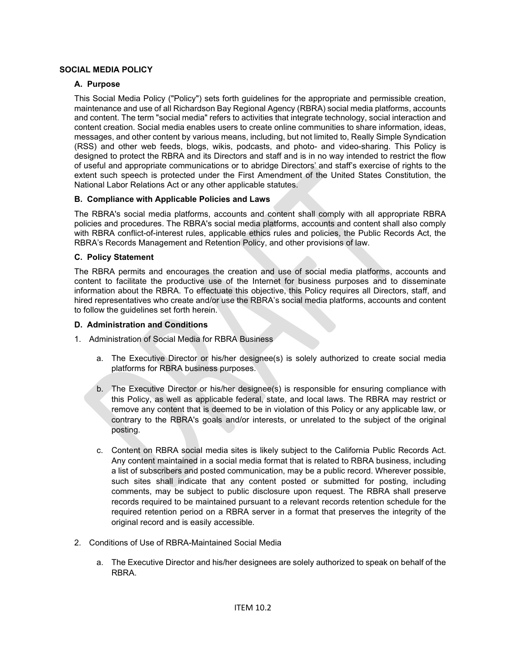# **SOCIAL MEDIA POLICY**

# **A. Purpose**

This Social Media Policy ("Policy") sets forth guidelines for the appropriate and permissible creation, maintenance and use of all Richardson Bay Regional Agency (RBRA) social media platforms, accounts and content. The term "social media" refers to activities that integrate technology, social interaction and content creation. Social media enables users to create online communities to share information, ideas, messages, and other content by various means, including, but not limited to, Really Simple Syndication (RSS) and other web feeds, blogs, wikis, podcasts, and photo- and video-sharing. This Policy is designed to protect the RBRA and its Directors and staff and is in no way intended to restrict the flow of useful and appropriate communications or to abridge Directors' and staff's exercise of rights to the extent such speech is protected under the First Amendment of the United States Constitution, the National Labor Relations Act or any other applicable statutes.

### **B. Compliance with Applicable Policies and Laws**

The RBRA's social media platforms, accounts and content shall comply with all appropriate RBRA policies and procedures. The RBRA's social media platforms, accounts and content shall also comply with RBRA conflict-of-interest rules, applicable ethics rules and policies, the Public Records Act, the RBRA's Records Management and Retention Policy, and other provisions of law.

### **C. Policy Statement**

The RBRA permits and encourages the creation and use of social media platforms, accounts and content to facilitate the productive use of the Internet for business purposes and to disseminate information about the RBRA. To effectuate this objective, this Policy requires all Directors, staff, and hired representatives who create and/or use the RBRA's social media platforms, accounts and content to follow the guidelines set forth herein.

#### **D. Administration and Conditions**

- 1. Administration of Social Media for RBRA Business
	- a. The Executive Director or his/her designee(s) is solely authorized to create social media platforms for RBRA business purposes.
	- b. The Executive Director or his/her designee(s) is responsible for ensuring compliance with this Policy, as well as applicable federal, state, and local laws. The RBRA may restrict or remove any content that is deemed to be in violation of this Policy or any applicable law, or contrary to the RBRA's goals and/or interests, or unrelated to the subject of the original posting.
	- c. Content on RBRA social media sites is likely subject to the California Public Records Act. Any content maintained in a social media format that is related to RBRA business, including a list of subscribers and posted communication, may be a public record. Wherever possible, such sites shall indicate that any content posted or submitted for posting, including comments, may be subject to public disclosure upon request. The RBRA shall preserve records required to be maintained pursuant to a relevant records retention schedule for the required retention period on a RBRA server in a format that preserves the integrity of the original record and is easily accessible.
- 2. Conditions of Use of RBRA-Maintained Social Media
	- a. The Executive Director and his/her designees are solely authorized to speak on behalf of the RBRA.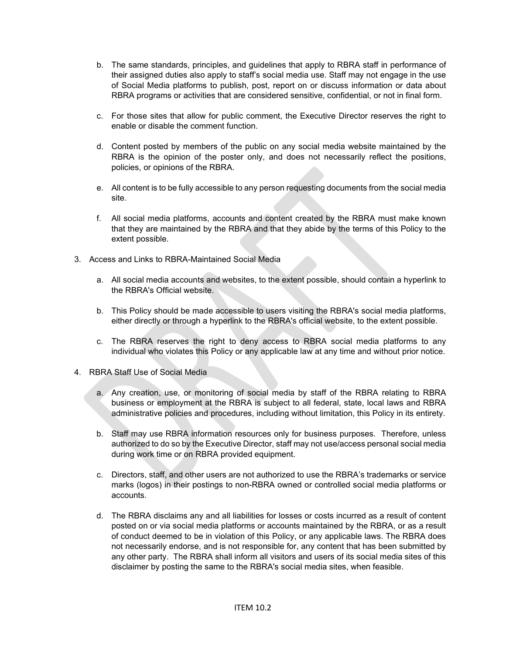- b. The same standards, principles, and guidelines that apply to RBRA staff in performance of their assigned duties also apply to staff's social media use. Staff may not engage in the use of Social Media platforms to publish, post, report on or discuss information or data about RBRA programs or activities that are considered sensitive, confidential, or not in final form.
- c. For those sites that allow for public comment, the Executive Director reserves the right to enable or disable the comment function.
- d. Content posted by members of the public on any social media website maintained by the RBRA is the opinion of the poster only, and does not necessarily reflect the positions, policies, or opinions of the RBRA.
- e. All content is to be fully accessible to any person requesting documents from the social media site.
- f. All social media platforms, accounts and content created by the RBRA must make known that they are maintained by the RBRA and that they abide by the terms of this Policy to the extent possible.
- 3. Access and Links to RBRA-Maintained Social Media
	- a. All social media accounts and websites, to the extent possible, should contain a hyperlink to the RBRA's Official website.
	- b. This Policy should be made accessible to users visiting the RBRA's social media platforms, either directly or through a hyperlink to the RBRA's official website, to the extent possible.
	- c. The RBRA reserves the right to deny access to RBRA social media platforms to any individual who violates this Policy or any applicable law at any time and without prior notice.
- 4. RBRA Staff Use of Social Media
	- a. Any creation, use, or monitoring of social media by staff of the RBRA relating to RBRA business or employment at the RBRA is subject to all federal, state, local laws and RBRA administrative policies and procedures, including without limitation, this Policy in its entirety.
	- b. Staff may use RBRA information resources only for business purposes. Therefore, unless authorized to do so by the Executive Director, staff may not use/access personal social media during work time or on RBRA provided equipment.
	- c. Directors, staff, and other users are not authorized to use the RBRA's trademarks or service marks (logos) in their postings to non-RBRA owned or controlled social media platforms or accounts.
	- d. The RBRA disclaims any and all liabilities for losses or costs incurred as a result of content posted on or via social media platforms or accounts maintained by the RBRA, or as a result of conduct deemed to be in violation of this Policy, or any applicable laws. The RBRA does not necessarily endorse, and is not responsible for, any content that has been submitted by any other party. The RBRA shall inform all visitors and users of its social media sites of this disclaimer by posting the same to the RBRA's social media sites, when feasible.